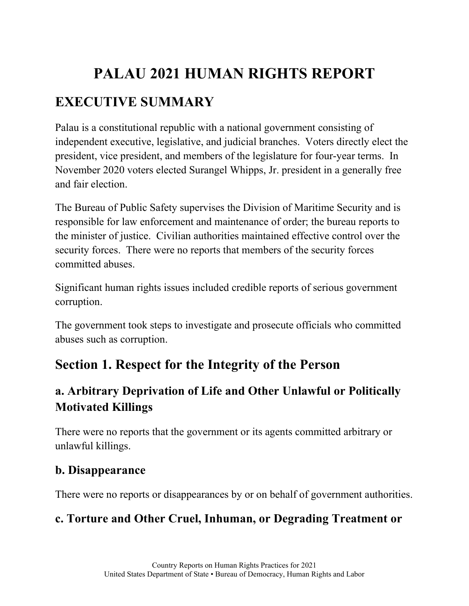# **PALAU 2021 HUMAN RIGHTS REPORT EXECUTIVE SUMMARY**

Palau is a constitutional republic with a national government consisting of independent executive, legislative, and judicial branches. Voters directly elect the president, vice president, and members of the legislature for four-year terms. In November 2020 voters elected Surangel Whipps, Jr. president in a generally free and fair election.

The Bureau of Public Safety supervises the Division of Maritime Security and is responsible for law enforcement and maintenance of order; the bureau reports to the minister of justice. Civilian authorities maintained effective control over the security forces. There were no reports that members of the security forces committed abuses.

Significant human rights issues included credible reports of serious government corruption.

The government took steps to investigate and prosecute officials who committed abuses such as corruption.

# **Section 1. Respect for the Integrity of the Person**

# **a. Arbitrary Deprivation of Life and Other Unlawful or Politically Motivated Killings**

There were no reports that the government or its agents committed arbitrary or unlawful killings.

### **b. Disappearance**

There were no reports or disappearances by or on behalf of government authorities.

# **c. Torture and Other Cruel, Inhuman, or Degrading Treatment or**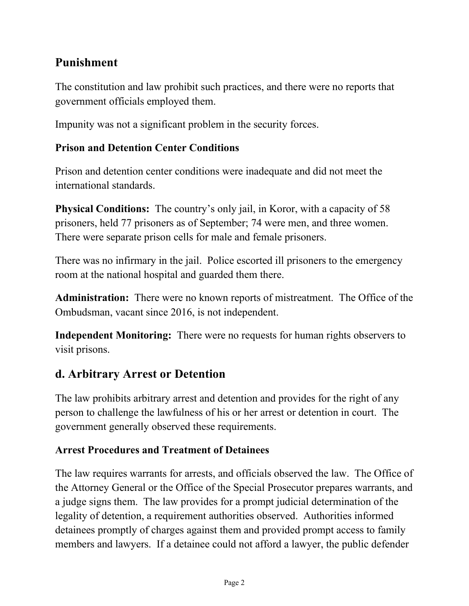# **Punishment**

The constitution and law prohibit such practices, and there were no reports that government officials employed them.

Impunity was not a significant problem in the security forces.

#### **Prison and Detention Center Conditions**

Prison and detention center conditions were inadequate and did not meet the international standards.

**Physical Conditions:** The country's only jail, in Koror, with a capacity of 58 prisoners, held 77 prisoners as of September; 74 were men, and three women. There were separate prison cells for male and female prisoners.

There was no infirmary in the jail. Police escorted ill prisoners to the emergency room at the national hospital and guarded them there.

**Administration:** There were no known reports of mistreatment. The Office of the Ombudsman, vacant since 2016, is not independent.

**Independent Monitoring:** There were no requests for human rights observers to visit prisons.

### **d. Arbitrary Arrest or Detention**

The law prohibits arbitrary arrest and detention and provides for the right of any person to challenge the lawfulness of his or her arrest or detention in court. The government generally observed these requirements.

#### **Arrest Procedures and Treatment of Detainees**

The law requires warrants for arrests, and officials observed the law. The Office of the Attorney General or the Office of the Special Prosecutor prepares warrants, and a judge signs them. The law provides for a prompt judicial determination of the legality of detention, a requirement authorities observed. Authorities informed detainees promptly of charges against them and provided prompt access to family members and lawyers. If a detainee could not afford a lawyer, the public defender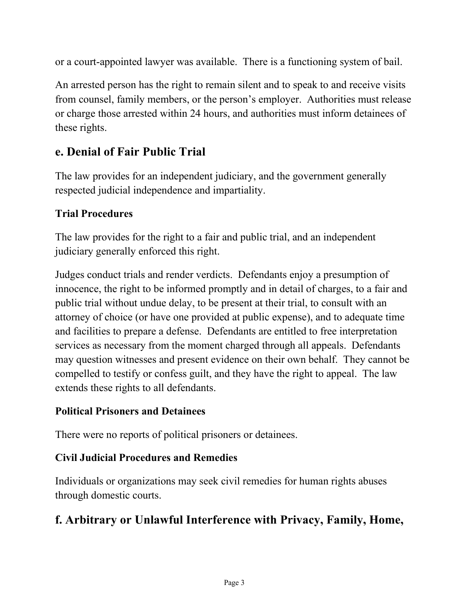or a court-appointed lawyer was available. There is a functioning system of bail.

An arrested person has the right to remain silent and to speak to and receive visits from counsel, family members, or the person's employer. Authorities must release or charge those arrested within 24 hours, and authorities must inform detainees of these rights.

# **e. Denial of Fair Public Trial**

The law provides for an independent judiciary, and the government generally respected judicial independence and impartiality.

#### **Trial Procedures**

The law provides for the right to a fair and public trial, and an independent judiciary generally enforced this right.

Judges conduct trials and render verdicts. Defendants enjoy a presumption of innocence, the right to be informed promptly and in detail of charges, to a fair and public trial without undue delay, to be present at their trial, to consult with an attorney of choice (or have one provided at public expense), and to adequate time and facilities to prepare a defense. Defendants are entitled to free interpretation services as necessary from the moment charged through all appeals. Defendants may question witnesses and present evidence on their own behalf. They cannot be compelled to testify or confess guilt, and they have the right to appeal. The law extends these rights to all defendants.

#### **Political Prisoners and Detainees**

There were no reports of political prisoners or detainees.

### **Civil Judicial Procedures and Remedies**

Individuals or organizations may seek civil remedies for human rights abuses through domestic courts.

# **f. Arbitrary or Unlawful Interference with Privacy, Family, Home,**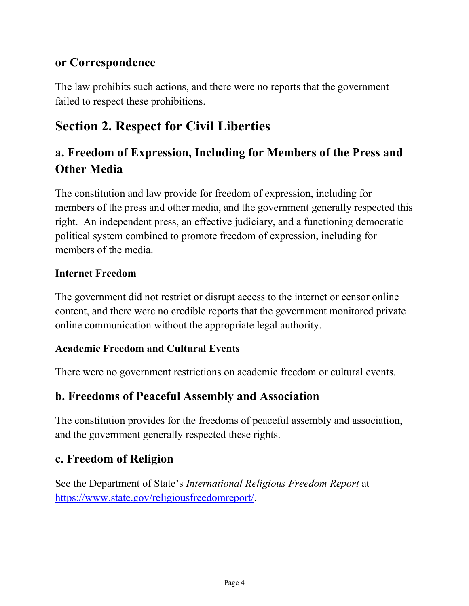### **or Correspondence**

The law prohibits such actions, and there were no reports that the government failed to respect these prohibitions.

# **Section 2. Respect for Civil Liberties**

# **a. Freedom of Expression, Including for Members of the Press and Other Media**

The constitution and law provide for freedom of expression, including for members of the press and other media, and the government generally respected this right. An independent press, an effective judiciary, and a functioning democratic political system combined to promote freedom of expression, including for members of the media.

#### **Internet Freedom**

The government did not restrict or disrupt access to the internet or censor online content, and there were no credible reports that the government monitored private online communication without the appropriate legal authority.

#### **Academic Freedom and Cultural Events**

There were no government restrictions on academic freedom or cultural events.

### **b. Freedoms of Peaceful Assembly and Association**

The constitution provides for the freedoms of peaceful assembly and association, and the government generally respected these rights.

### **c. Freedom of Religion**

See the Department of State's *International Religious Freedom Report* at [https://www.state.gov/religiousfreedomreport/.](https://www.state.gov/religiousfreedomreport/)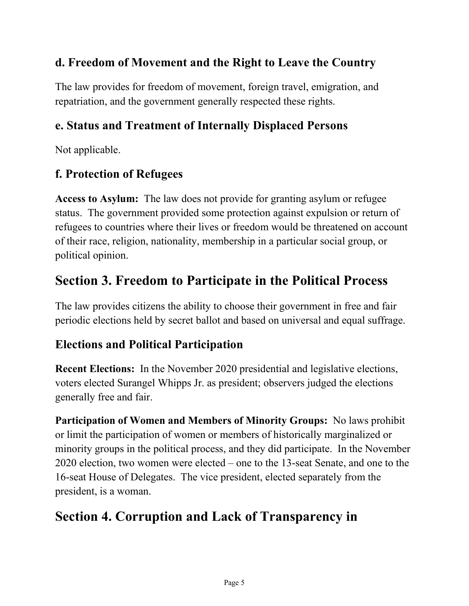# **d. Freedom of Movement and the Right to Leave the Country**

The law provides for freedom of movement, foreign travel, emigration, and repatriation, and the government generally respected these rights.

# **e. Status and Treatment of Internally Displaced Persons**

Not applicable.

# **f. Protection of Refugees**

**Access to Asylum:** The law does not provide for granting asylum or refugee status. The government provided some protection against expulsion or return of refugees to countries where their lives or freedom would be threatened on account of their race, religion, nationality, membership in a particular social group, or political opinion.

# **Section 3. Freedom to Participate in the Political Process**

The law provides citizens the ability to choose their government in free and fair periodic elections held by secret ballot and based on universal and equal suffrage.

### **Elections and Political Participation**

**Recent Elections:** In the November 2020 presidential and legislative elections, voters elected Surangel Whipps Jr. as president; observers judged the elections generally free and fair.

**Participation of Women and Members of Minority Groups:** No laws prohibit or limit the participation of women or members of historically marginalized or minority groups in the political process, and they did participate. In the November 2020 election, two women were elected – one to the 13-seat Senate, and one to the 16-seat House of Delegates. The vice president, elected separately from the president, is a woman.

# **Section 4. Corruption and Lack of Transparency in**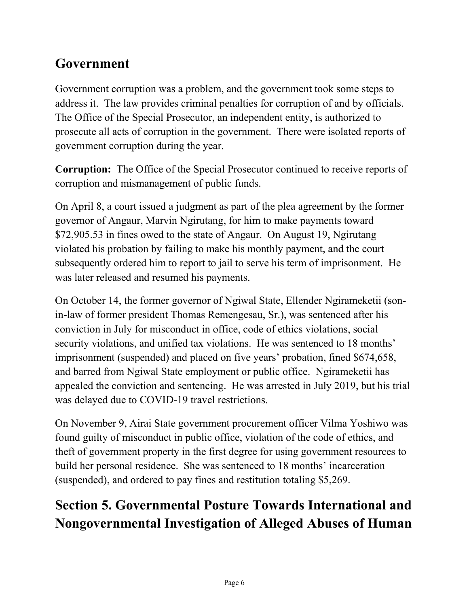# **Government**

Government corruption was a problem, and the government took some steps to address it. The law provides criminal penalties for corruption of and by officials. The Office of the Special Prosecutor, an independent entity, is authorized to prosecute all acts of corruption in the government. There were isolated reports of government corruption during the year.

**Corruption:** The Office of the Special Prosecutor continued to receive reports of corruption and mismanagement of public funds.

On April 8, a court issued a judgment as part of the plea agreement by the former governor of Angaur, Marvin Ngirutang, for him to make payments toward \$72,905.53 in fines owed to the state of Angaur. On August 19, Ngirutang violated his probation by failing to make his monthly payment, and the court subsequently ordered him to report to jail to serve his term of imprisonment. He was later released and resumed his payments.

On October 14, the former governor of Ngiwal State, Ellender Ngirameketii (sonin-law of former president Thomas Remengesau, Sr.), was sentenced after his conviction in July for misconduct in office, code of ethics violations, social security violations, and unified tax violations. He was sentenced to 18 months' imprisonment (suspended) and placed on five years' probation, fined \$674,658, and barred from Ngiwal State employment or public office. Ngirameketii has appealed the conviction and sentencing. He was arrested in July 2019, but his trial was delayed due to COVID-19 travel restrictions.

On November 9, Airai State government procurement officer Vilma Yoshiwo was found guilty of misconduct in public office, violation of the code of ethics, and theft of government property in the first degree for using government resources to build her personal residence. She was sentenced to 18 months' incarceration (suspended), and ordered to pay fines and restitution totaling \$5,269.

# **Section 5. Governmental Posture Towards International and Nongovernmental Investigation of Alleged Abuses of Human**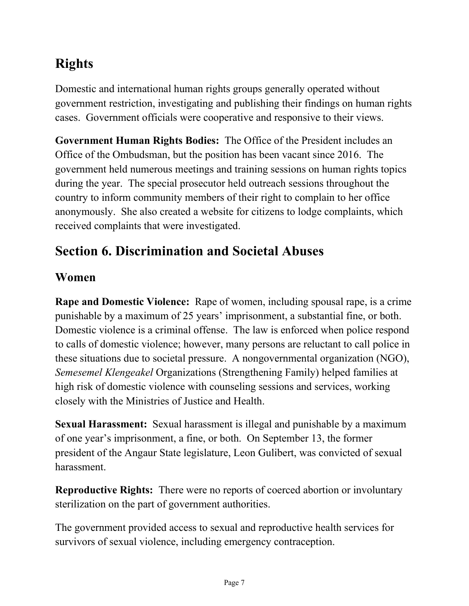# **Rights**

Domestic and international human rights groups generally operated without government restriction, investigating and publishing their findings on human rights cases. Government officials were cooperative and responsive to their views.

**Government Human Rights Bodies:** The Office of the President includes an Office of the Ombudsman, but the position has been vacant since 2016. The government held numerous meetings and training sessions on human rights topics during the year. The special prosecutor held outreach sessions throughout the country to inform community members of their right to complain to her office anonymously. She also created a website for citizens to lodge complaints, which received complaints that were investigated.

# **Section 6. Discrimination and Societal Abuses**

# **Women**

**Rape and Domestic Violence:** Rape of women, including spousal rape, is a crime punishable by a maximum of 25 years' imprisonment, a substantial fine, or both. Domestic violence is a criminal offense. The law is enforced when police respond to calls of domestic violence; however, many persons are reluctant to call police in these situations due to societal pressure. A nongovernmental organization (NGO), *Semesemel Klengeakel* Organizations (Strengthening Family) helped families at high risk of domestic violence with counseling sessions and services, working closely with the Ministries of Justice and Health.

**Sexual Harassment:** Sexual harassment is illegal and punishable by a maximum of one year's imprisonment, a fine, or both. On September 13, the former president of the Angaur State legislature, Leon Gulibert, was convicted of sexual harassment.

**Reproductive Rights:** There were no reports of coerced abortion or involuntary sterilization on the part of government authorities.

The government provided access to sexual and reproductive health services for survivors of sexual violence, including emergency contraception.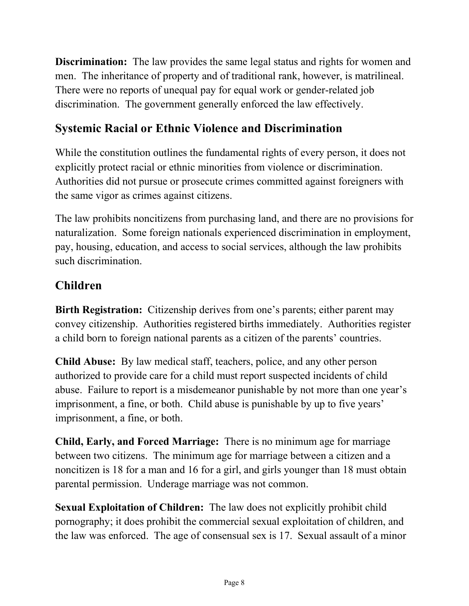**Discrimination:** The law provides the same legal status and rights for women and men. The inheritance of property and of traditional rank, however, is matrilineal. There were no reports of unequal pay for equal work or gender-related job discrimination. The government generally enforced the law effectively.

# **Systemic Racial or Ethnic Violence and Discrimination**

While the constitution outlines the fundamental rights of every person, it does not explicitly protect racial or ethnic minorities from violence or discrimination. Authorities did not pursue or prosecute crimes committed against foreigners with the same vigor as crimes against citizens.

The law prohibits noncitizens from purchasing land, and there are no provisions for naturalization. Some foreign nationals experienced discrimination in employment, pay, housing, education, and access to social services, although the law prohibits such discrimination.

### **Children**

**Birth Registration:** Citizenship derives from one's parents; either parent may convey citizenship. Authorities registered births immediately. Authorities register a child born to foreign national parents as a citizen of the parents' countries.

**Child Abuse:** By law medical staff, teachers, police, and any other person authorized to provide care for a child must report suspected incidents of child abuse. Failure to report is a misdemeanor punishable by not more than one year's imprisonment, a fine, or both. Child abuse is punishable by up to five years' imprisonment, a fine, or both.

**Child, Early, and Forced Marriage:** There is no minimum age for marriage between two citizens. The minimum age for marriage between a citizen and a noncitizen is 18 for a man and 16 for a girl, and girls younger than 18 must obtain parental permission. Underage marriage was not common.

**Sexual Exploitation of Children:** The law does not explicitly prohibit child pornography; it does prohibit the commercial sexual exploitation of children, and the law was enforced. The age of consensual sex is 17. Sexual assault of a minor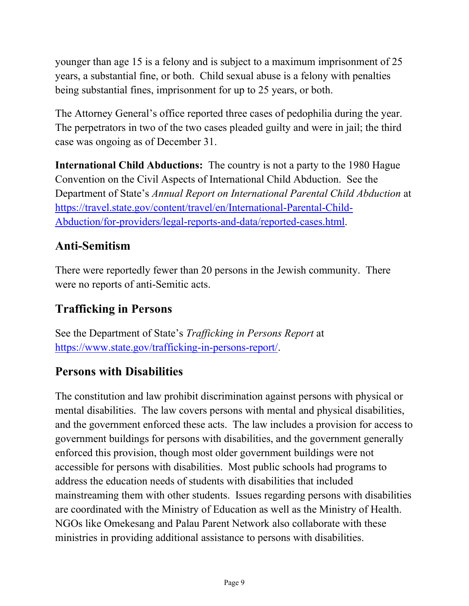younger than age 15 is a felony and is subject to a maximum imprisonment of 25 years, a substantial fine, or both. Child sexual abuse is a felony with penalties being substantial fines, imprisonment for up to 25 years, or both.

The Attorney General's office reported three cases of pedophilia during the year. The perpetrators in two of the two cases pleaded guilty and were in jail; the third case was ongoing as of December 31.

**International Child Abductions:** The country is not a party to the 1980 Hague Convention on the Civil Aspects of International Child Abduction. See the Department of State's *Annual Report on International Parental Child Abduction* at [https://travel.state.gov/content/travel/en/International-Parental-Child-](https://travel.state.gov/content/travel/en/International-Parental-Child-Abduction/for-providers/legal-reports-and-data/reported-cases.html)[Abduction/for-providers/legal-reports-and-data/reported-cases.html](https://travel.state.gov/content/travel/en/International-Parental-Child-Abduction/for-providers/legal-reports-and-data/reported-cases.html)[.](https://travel.state.gov/content/travel/en/International-Parental-Child-Abduction/for-providers/legal-reports-and-data.html)

# **Anti-Semitism**

There were reportedly fewer than 20 persons in the Jewish community. There were no reports of anti-Semitic acts.

# **Trafficking in Persons**

See the Department of State's *Trafficking in Persons Report* at <https://www.state.gov/trafficking-in-persons-report/>[.](http://www.state.gov/j/tip/rls/tiprpt/)

# **Persons with Disabilities**

The constitution and law prohibit discrimination against persons with physical or mental disabilities. The law covers persons with mental and physical disabilities, and the government enforced these acts. The law includes a provision for access to government buildings for persons with disabilities, and the government generally enforced this provision, though most older government buildings were not accessible for persons with disabilities. Most public schools had programs to address the education needs of students with disabilities that included mainstreaming them with other students. Issues regarding persons with disabilities are coordinated with the Ministry of Education as well as the Ministry of Health. NGOs like Omekesang and Palau Parent Network also collaborate with these ministries in providing additional assistance to persons with disabilities.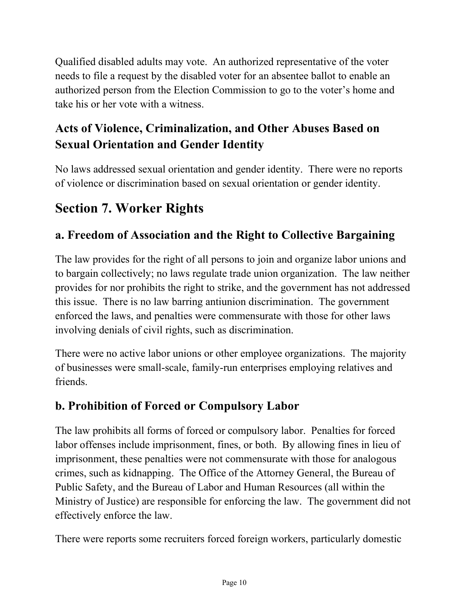Qualified disabled adults may vote. An authorized representative of the voter needs to file a request by the disabled voter for an absentee ballot to enable an authorized person from the Election Commission to go to the voter's home and take his or her vote with a witness.

# **Acts of Violence, Criminalization, and Other Abuses Based on Sexual Orientation and Gender Identity**

No laws addressed sexual orientation and gender identity. There were no reports of violence or discrimination based on sexual orientation or gender identity.

# **Section 7. Worker Rights**

# **a. Freedom of Association and the Right to Collective Bargaining**

The law provides for the right of all persons to join and organize labor unions and to bargain collectively; no laws regulate trade union organization. The law neither provides for nor prohibits the right to strike, and the government has not addressed this issue. There is no law barring antiunion discrimination. The government enforced the laws, and penalties were commensurate with those for other laws involving denials of civil rights, such as discrimination.

There were no active labor unions or other employee organizations. The majority of businesses were small-scale, family-run enterprises employing relatives and friends.

### **b. Prohibition of Forced or Compulsory Labor**

The law prohibits all forms of forced or compulsory labor. Penalties for forced labor offenses include imprisonment, fines, or both. By allowing fines in lieu of imprisonment, these penalties were not commensurate with those for analogous crimes, such as kidnapping. The Office of the Attorney General, the Bureau of Public Safety, and the Bureau of Labor and Human Resources (all within the Ministry of Justice) are responsible for enforcing the law. The government did not effectively enforce the law.

There were reports some recruiters forced foreign workers, particularly domestic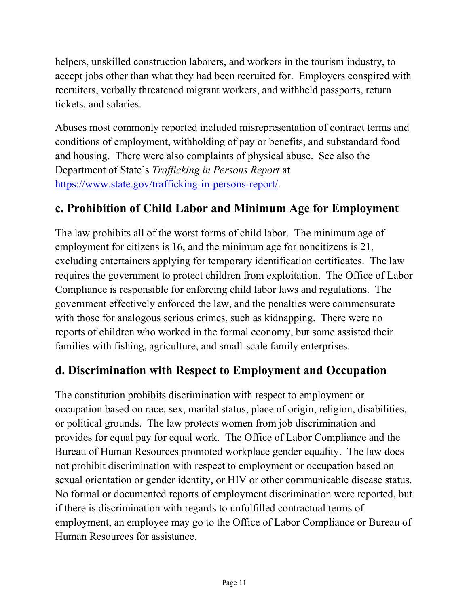helpers, unskilled construction laborers, and workers in the tourism industry, to accept jobs other than what they had been recruited for. Employers conspired with recruiters, verbally threatened migrant workers, and withheld passports, return tickets, and salaries.

Abuses most commonly reported included misrepresentation of contract terms and conditions of employment, withholding of pay or benefits, and substandard food and housing. There were also complaints of physical abuse. See also the Department of State's *Trafficking in Persons Report* at <https://www.state.gov/trafficking-in-persons-report/>[.](http://www.state.gov/j/tip/rls/tiprpt/)

### **c. Prohibition of Child Labor and Minimum Age for Employment**

The law prohibits all of the worst forms of child labor. The minimum age of employment for citizens is 16, and the minimum age for noncitizens is 21, excluding entertainers applying for temporary identification certificates. The law requires the government to protect children from exploitation. The Office of Labor Compliance is responsible for enforcing child labor laws and regulations. The government effectively enforced the law, and the penalties were commensurate with those for analogous serious crimes, such as kidnapping. There were no reports of children who worked in the formal economy, but some assisted their families with fishing, agriculture, and small-scale family enterprises.

### **d. Discrimination with Respect to Employment and Occupation**

The constitution prohibits discrimination with respect to employment or occupation based on race, sex, marital status, place of origin, religion, disabilities, or political grounds. The law protects women from job discrimination and provides for equal pay for equal work. The Office of Labor Compliance and the Bureau of Human Resources promoted workplace gender equality. The law does not prohibit discrimination with respect to employment or occupation based on sexual orientation or gender identity, or HIV or other communicable disease status. No formal or documented reports of employment discrimination were reported, but if there is discrimination with regards to unfulfilled contractual terms of employment, an employee may go to the Office of Labor Compliance or Bureau of Human Resources for assistance.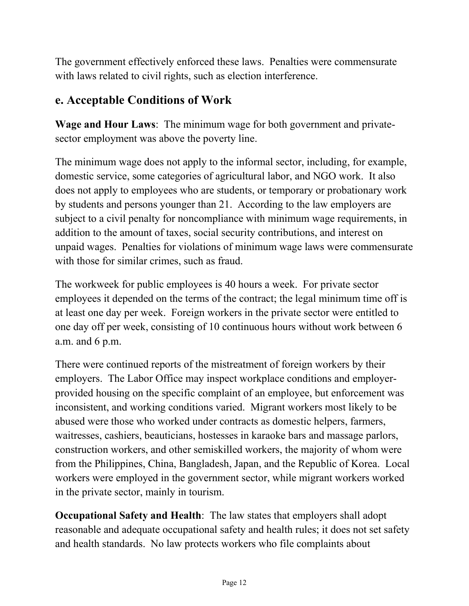The government effectively enforced these laws. Penalties were commensurate with laws related to civil rights, such as election interference.

### **e. Acceptable Conditions of Work**

**Wage and Hour Laws**: The minimum wage for both government and privatesector employment was above the poverty line.

The minimum wage does not apply to the informal sector, including, for example, domestic service, some categories of agricultural labor, and NGO work. It also does not apply to employees who are students, or temporary or probationary work by students and persons younger than 21. According to the law employers are subject to a civil penalty for noncompliance with minimum wage requirements, in addition to the amount of taxes, social security contributions, and interest on unpaid wages. Penalties for violations of minimum wage laws were commensurate with those for similar crimes, such as fraud.

The workweek for public employees is 40 hours a week. For private sector employees it depended on the terms of the contract; the legal minimum time off is at least one day per week. Foreign workers in the private sector were entitled to one day off per week, consisting of 10 continuous hours without work between 6 a.m. and 6 p.m.

There were continued reports of the mistreatment of foreign workers by their employers. The Labor Office may inspect workplace conditions and employerprovided housing on the specific complaint of an employee, but enforcement was inconsistent, and working conditions varied. Migrant workers most likely to be abused were those who worked under contracts as domestic helpers, farmers, waitresses, cashiers, beauticians, hostesses in karaoke bars and massage parlors, construction workers, and other semiskilled workers, the majority of whom were from the Philippines, China, Bangladesh, Japan, and the Republic of Korea. Local workers were employed in the government sector, while migrant workers worked in the private sector, mainly in tourism.

**Occupational Safety and Health**: The law states that employers shall adopt reasonable and adequate occupational safety and health rules; it does not set safety and health standards. No law protects workers who file complaints about